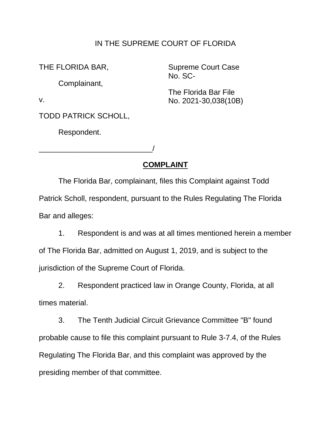#### IN THE SUPREME COURT OF FLORIDA

THE FLORIDA BAR,

No. SC- Complainant,

Supreme Court Case

The Florida Bar File v. No. 2021-30,038(10B)

TODD PATRICK SCHOLL,

\_\_\_\_\_\_\_\_\_\_\_\_\_\_\_\_\_\_\_\_\_\_\_\_\_\_\_/

Respondent.

# **COMPLAINT**

 The Florida Bar, complainant, files this Complaint against Todd Patrick Scholl, respondent, pursuant to the Rules Regulating The Florida Bar and alleges:

 1. Respondent is and was at all times mentioned herein a member of The Florida Bar, admitted on August 1, 2019, and is subject to the jurisdiction of the Supreme Court of Florida.

2. Respondent practiced law in Orange County, Florida, at all times material.

 probable cause to file this complaint pursuant to Rule 3-7.4, of the Rules presiding member of that committee. 3. The Tenth Judicial Circuit Grievance Committee "B" found Regulating The Florida Bar, and this complaint was approved by the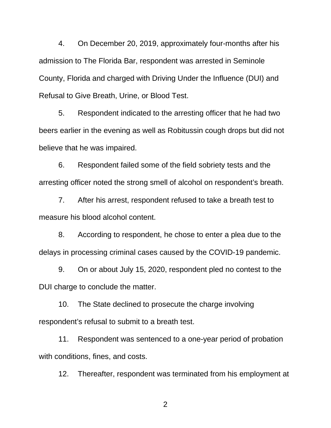admission to The Florida Bar, respondent was arrested in Seminole County, Florida and charged with Driving Under the Influence (DUI) and Refusal to Give Breath, Urine, or Blood Test. 4. On December 20, 2019, approximately four-months after his

 5. Respondent indicated to the arresting officer that he had two beers earlier in the evening as well as Robitussin cough drops but did not believe that he was impaired.

 6. Respondent failed some of the field sobriety tests and the arresting officer noted the strong smell of alcohol on respondent's breath.

 7. After his arrest, respondent refused to take a breath test to measure his blood alcohol content.

 8. According to respondent, he chose to enter a plea due to the delays in processing criminal cases caused by the COVID-19 pandemic.

 9. On or about July 15, 2020, respondent pled no contest to the DUI charge to conclude the matter.

 respondent's refusal to submit to a breath test. 10. The State declined to prosecute the charge involving

 11. Respondent was sentenced to a one-year period of probation with conditions, fines, and costs.

12. Thereafter, respondent was terminated from his employment at

2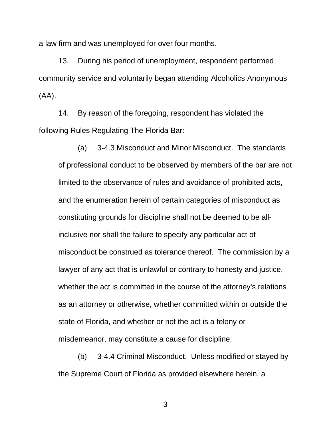a law firm and was unemployed for over four months.

 13. During his period of unemployment, respondent performed community service and voluntarily began attending Alcoholics Anonymous (AA).

 14. By reason of the foregoing, respondent has violated the following Rules Regulating The Florida Bar:

 of professional conduct to be observed by members of the bar are not and the enumeration herein of certain categories of misconduct as misconduct be construed as tolerance thereof. The commission by a whether the act is committed in the course of the attorney's relations as an attorney or otherwise, whether committed within or outside the state of Florida, and whether or not the act is a felony or misdemeanor, may constitute a cause for discipline; (a) 3-4.3 Misconduct and Minor Misconduct. The standards limited to the observance of rules and avoidance of prohibited acts, constituting grounds for discipline shall not be deemed to be allinclusive nor shall the failure to specify any particular act of lawyer of any act that is unlawful or contrary to honesty and justice,

 (b) 3-4.4 Criminal Misconduct. Unless modified or stayed by the Supreme Court of Florida as provided elsewhere herein, a

3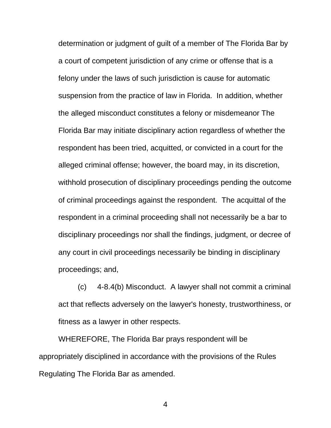determination or judgment of guilt of a member of The Florida Bar by a court of competent jurisdiction of any crime or offense that is a suspension from the practice of law in Florida. In addition, whether the alleged misconduct constitutes a felony or misdemeanor The respondent has been tried, acquitted, or convicted in a court for the alleged criminal offense; however, the board may, in its discretion, of criminal proceedings against the respondent. The acquittal of the respondent in a criminal proceeding shall not necessarily be a bar to disciplinary proceedings nor shall the findings, judgment, or decree of any court in civil proceedings necessarily be binding in disciplinary felony under the laws of such jurisdiction is cause for automatic Florida Bar may initiate disciplinary action regardless of whether the withhold prosecution of disciplinary proceedings pending the outcome proceedings; and,

 (c) 4-8.4(b) Misconduct. A lawyer shall not commit a criminal act that reflects adversely on the lawyer's honesty, trustworthiness, or fitness as a lawyer in other respects.

 appropriately disciplined in accordance with the provisions of the Rules WHEREFORE, The Florida Bar prays respondent will be Regulating The Florida Bar as amended.

4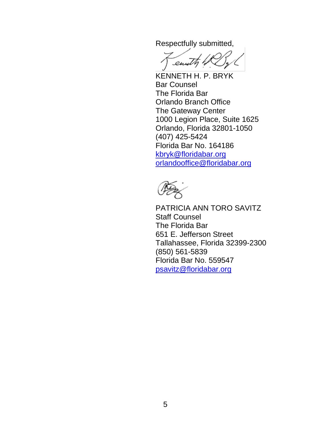Respectfully submitted,

enuty

 KENNETH H. P. BRYK The Florida Bar Orlando, Florida 32801-1050 Bar Counsel Orlando Branch Office The Gateway Center 1000 Legion Place, Suite 1625 (407) 425-5424 Florida Bar No. 164186 kbryk@floridabar.org [orlandooffice@floridabar.org](mailto:orlandooffice@floridabar.org) 

 The Florida Bar Tallahassee, Florida 32399-2300 PATRICIA ANN TORO SAVITZ Staff Counsel 651 E. Jefferson Street (850) 561-5839 Florida Bar No. 559547 psavitz@floridabar.org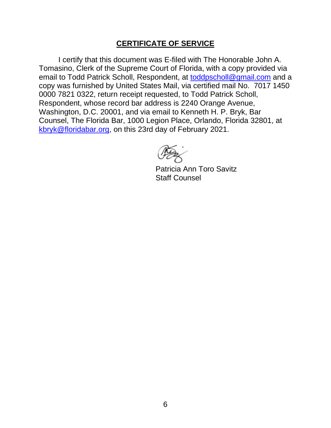### **CERTIFICATE OF SERVICE**

 I certify that this document was E-filed with The Honorable John A. Tomasino, Clerk of the Supreme Court of Florida, with a copy provided via email to Todd Patrick Scholl, Respondent, at <u>toddpscholl@gmail.com</u> and a copy was furnished by United States Mail, via certified mail No. 7017 1450 0000 7821 0322, return receipt requested, to Todd Patrick Scholl, Counsel, The Florida Bar, 1000 Legion Place, Orlando, Florida 32801, at kbryk@floridabar.org, on this 23rd day of February 2021. Respondent, whose record bar address is 2240 Orange Avenue, Washington, D.C. 20001, and via email to Kenneth H. P. Bryk, Bar

Patricia Ann Toro Savitz Staff Counsel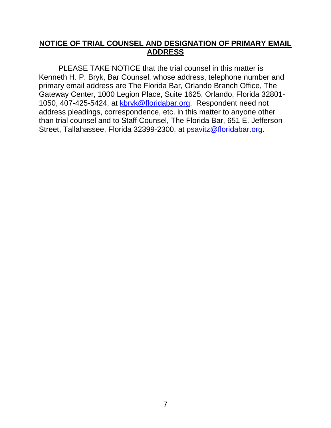### **NOTICE OF TRIAL COUNSEL AND DESIGNATION OF PRIMARY EMAIL ADDRESS**

 Kenneth H. P. Bryk, Bar Counsel, whose address, telephone number and primary email address are The Florida Bar, Orlando Branch Office, The Gateway Center, 1000 Legion Place, Suite 1625, Orlando, Florida 32801- address pleadings, correspondence, etc. in this matter to anyone other than trial counsel and to Staff Counsel, The Florida Bar, 651 E. Jefferson Street, Tallahassee, Florida 32399-2300, at **psavitz@floridabar.org**. PLEASE TAKE NOTICE that the trial counsel in this matter is 1050, 407-425-5424, at [kbryk@floridabar.org.](mailto:kbryk@floridabar.org) Respondent need not